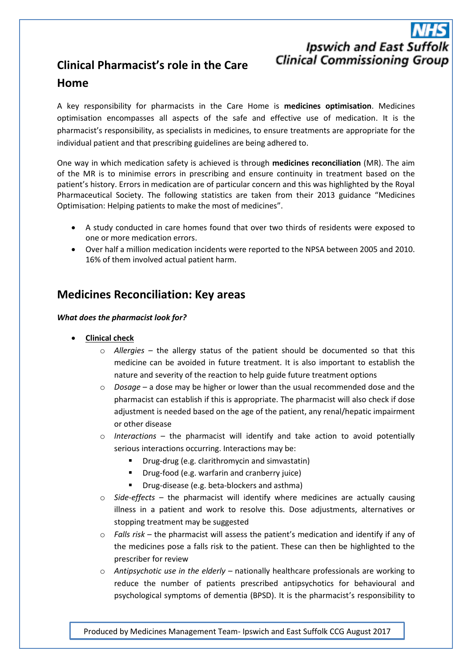# **Ipswich and East Suffolk Clinical Commissioning Group**

## **Clinical Pharmacist's role in the Care Home**

A key responsibility for pharmacists in the Care Home is **medicines optimisation**. Medicines optimisation encompasses all aspects of the safe and effective use of medication. It is the pharmacist's responsibility, as specialists in medicines, to ensure treatments are appropriate for the individual patient and that prescribing guidelines are being adhered to.

One way in which medication safety is achieved is through **medicines reconciliation** (MR). The aim of the MR is to minimise errors in prescribing and ensure continuity in treatment based on the patient's history. Errors in medication are of particular concern and this was highlighted by the Royal Pharmaceutical Society. The following statistics are taken from their 2013 guidance "Medicines Optimisation: Helping patients to make the most of medicines".

- A study conducted in care homes found that over two thirds of residents were exposed to one or more medication errors.
- Over half a million medication incidents were reported to the NPSA between 2005 and 2010. 16% of them involved actual patient harm.

## **Medicines Reconciliation: Key areas**

#### *What does the pharmacist look for?*

- **Clinical check**
	- o *Allergies* the allergy status of the patient should be documented so that this medicine can be avoided in future treatment. It is also important to establish the nature and severity of the reaction to help guide future treatment options
	- o *Dosage* a dose may be higher or lower than the usual recommended dose and the pharmacist can establish if this is appropriate. The pharmacist will also check if dose adjustment is needed based on the age of the patient, any renal/hepatic impairment or other disease
	- o *Interactions* the pharmacist will identify and take action to avoid potentially serious interactions occurring. Interactions may be:
		- **Drug-drug (e.g. clarithromycin and simvastatin)**
		- **•** Drug-food (e.g. warfarin and cranberry juice)
		- **Drug-disease (e.g. beta-blockers and asthma)**
	- o *Side-effects* the pharmacist will identify where medicines are actually causing illness in a patient and work to resolve this. Dose adjustments, alternatives or stopping treatment may be suggested
	- o *Falls risk* the pharmacist will assess the patient's medication and identify if any of the medicines pose a falls risk to the patient. These can then be highlighted to the prescriber for review
	- o *Antipsychotic use in the elderly* nationally healthcare professionals are working to reduce the number of patients prescribed antipsychotics for behavioural and psychological symptoms of dementia (BPSD). It is the pharmacist's responsibility to